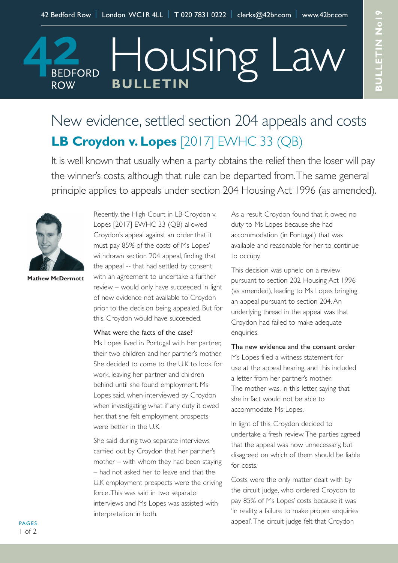Housing I

## **BULLETIN ROW** New evidence, settled section 204 appeals and costs

# **LB Croydon v. Lopes** [2017] EWHC 33 (QB)

It is well known that usually when a party obtains the relief then the loser will pay the winner's costs, although that rule can be departed from.The same general principle applies to appeals under section 204 Housing Act 1996 (as amended).



**BEDFORD** 

**Mathew McDermott**

Recently, the High Court in LB Croydon v. Lopes [2017] EWHC 33 (QB) allowed Croydon's appeal against an order that it must pay 85% of the costs of Ms Lopes' withdrawn section 204 appeal, finding that the appeal -- that had settled by consent with an agreement to undertake a further review – would only have succeeded in light of new evidence not available to Croydon prior to the decision being appealed. But for this, Croydon would have succeeded.

## What were the facts of the case?

Ms Lopes lived in Portugal with her partner, their two children and her partner's mother. She decided to come to the U.K to look for work, leaving her partner and children behind until she found employment. Ms Lopes said, when interviewed by Croydon when investigating what if any duty it owed her, that she felt employment prospects were better in the U.K.

She said during two separate interviews carried out by Croydon that her partner's mother – with whom they had been staying – had not asked her to leave and that the U.K employment prospects were the driving force.This was said in two separate interviews and Ms Lopes was assisted with interpretation in both.

As a result Croydon found that it owed no duty to Ms Lopes because she had accommodation (in Portugal) that was available and reasonable for her to continue to occupy.

This decision was upheld on a review pursuant to section 202 Housing Act 1996 (as amended), leading to Ms Lopes bringing an appeal pursuant to section 204.An underlying thread in the appeal was that Croydon had failed to make adequate enquiries.

The new evidence and the consent order Ms Lopes filed a witness statement for use at the appeal hearing, and this included a letter from her partner's mother. The mother was, in this letter, saying that she in fact would not be able to accommodate Ms Lopes.

In light of this, Croydon decided to undertake a fresh review.The parties agreed that the appeal was now unnecessary, but disagreed on which of them should be liable for costs.

Costs were the only matter dealt with by the circuit judge, who ordered Croydon to pay 85% of Ms Lopes' costs because it was 'in reality, a failure to make proper enquiries appeal'.The circuit judge felt that Croydon